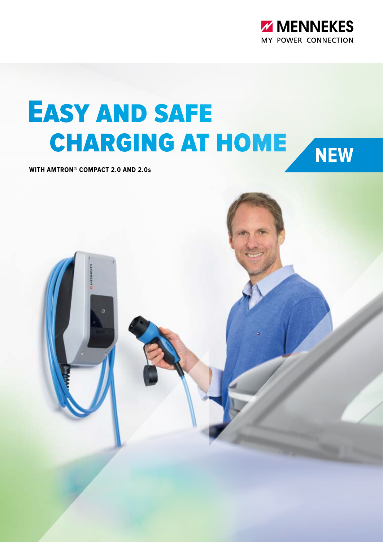

# Easy and safe charging at home

**WITH AMTRON® COMPACT 2.0 AND 2.0s**

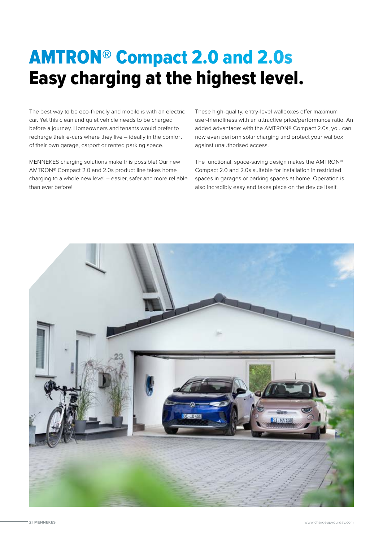## AMTRON® Compact 2.0 and 2.0s Easy charging at the highest level.

The best way to be eco-friendly and mobile is with an electric car. Yet this clean and quiet vehicle needs to be charged before a journey. Homeowners and tenants would prefer to recharge their e-cars where they live – ideally in the comfort of their own garage, carport or rented parking space.

MENNEKES charging solutions make this possible! Our new AMTRON® Compact 2.0 and 2.0s product line takes home charging to a whole new level – easier, safer and more reliable than ever before!

These high-quality, entry-level wallboxes offer maximum user-friendliness with an attractive price/performance ratio. An added advantage: with the AMTRON® Compact 2.0s, you can now even perform solar charging and protect your wallbox against unauthorised access.

The functional, space-saving design makes the AMTRON® Compact 2.0 and 2.0s suitable for installation in restricted spaces in garages or parking spaces at home. Operation is also incredibly easy and takes place on the device itself.

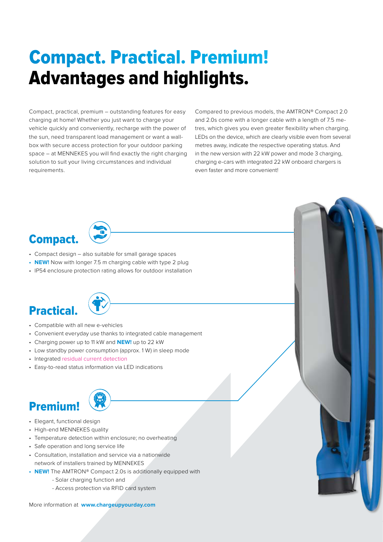# Advantages and highlights. Compact. Practical. Premium!

Compact, practical, premium – outstanding features for easy charging at home! Whether you just want to charge your vehicle quickly and conveniently, recharge with the power of the sun, need transparent load management or want a wallbox with secure access protection for your outdoor parking space – at MENNEKES you will find exactly the right charging solution to suit your living circumstances and individual requirements.

Compared to previous models, the AMTRON® Compact 2.0 and 2.0s come with a longer cable with a length of 7.5 metres, which gives you even greater flexibility when charging. LEDs on the device, which are clearly visible even from several metres away, indicate the respective operating status. And in the new version with 22 kW power and mode 3 charging, charging e-cars with integrated 22 kW onboard chargers is even faster and more convenient!

#### Compact.

- Compact design also suitable for small garage spaces
- **• NEW!** Now with longer 7.5 m charging cable with type 2 plug
- IP54 enclosure protection rating allows for outdoor installation

#### Practical.



- Compatible with all new e-vehicles
- Convenient everyday use thanks to integrated cable management
- Charging power up to 11 kW and **NEW!** up to 22 kW
- Low standby power consumption (approx. 1 W) in sleep mode
- Integrated residual current detection
- Easy-to-read status information via LED indications



- Premium!
- Elegant, functional design
- High-end MENNEKES quality
- Temperature detection within enclosure; no overheating
- Safe operation and long service life
- Consultation, installation and service via a nationwide network of installers trained by MENNEKES
- **• NEW!** The AMTRON® Compact 2.0s is additionally equipped with
	- Solar charging function and
	- Access protection via RFID card system

More information at **www.chargeupyourday.com**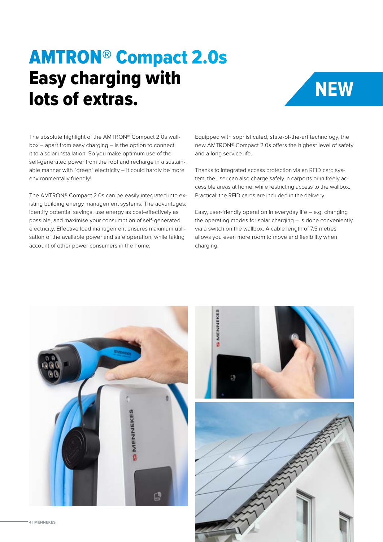### AMTRON® Compact 2.0s Easy charging with lots of extras. **NEW**



The absolute highlight of the AMTRON® Compact 2.0s wallbox – apart from easy charging – is the option to connect it to a solar installation. So you make optimum use of the self-generated power from the roof and recharge in a sustainable manner with "green" electricity – it could hardly be more environmentally friendly!

The AMTRON® Compact 2.0s can be easily integrated into existing building energy management systems. The advantages: identify potential savings, use energy as cost-effectively as possible, and maximise your consumption of self-generated electricity. Effective load management ensures maximum utilisation of the available power and safe operation, while taking account of other power consumers in the home.

Equipped with sophisticated, state-of-the-art technology, the new AMTRON® Compact 2.0s offers the highest level of safety and a long service life.

Thanks to integrated access protection via an RFID card system, the user can also charge safely in carports or in freely accessible areas at home, while restricting access to the wallbox. Practical: the RFID cards are included in the delivery.

Easy, user-friendly operation in everyday life – e.g. changing the operating modes for solar charging – is done conveniently via a switch on the wallbox. A cable length of 7.5 metres allows you even more room to move and flexibility when charging.



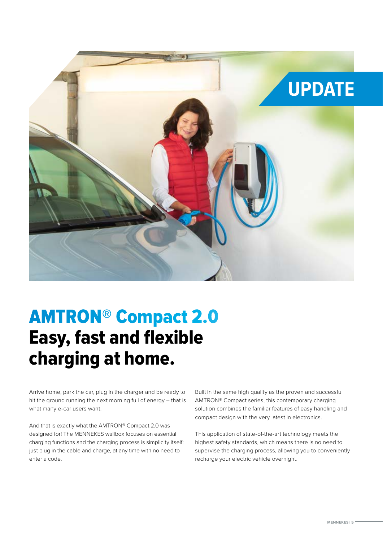

#### Easy, fast and flexible charging at home. AMTRON® Compact 2.0

Arrive home, park the car, plug in the charger and be ready to hit the ground running the next morning full of energy – that is what many e-car users want.

And that is exactly what the AMTRON® Compact 2.0 was designed for! The MENNEKES wallbox focuses on essential charging functions and the charging process is simplicity itself: just plug in the cable and charge, at any time with no need to enter a code.

Built in the same high quality as the proven and successful AMTRON® Compact series, this contemporary charging solution combines the familiar features of easy handling and compact design with the very latest in electronics.

This application of state-of-the-art technology meets the highest safety standards, which means there is no need to supervise the charging process, allowing you to conveniently recharge your electric vehicle overnight.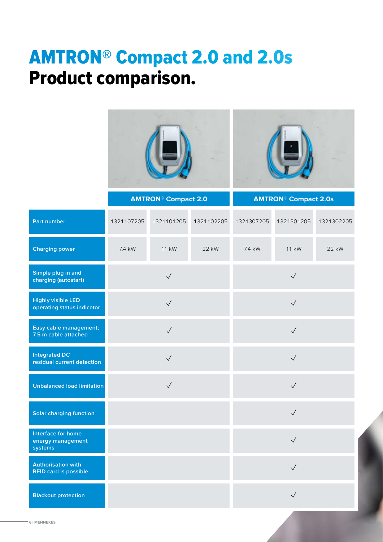### AMTRON® Compact 2.0 and 2.0s Product comparison.



|                                                           | <b>AMTRON® Compact 2.0</b> |              |            | <b>AMTRON<sup>®</sup> Compact 2.0s</b> |              |            |
|-----------------------------------------------------------|----------------------------|--------------|------------|----------------------------------------|--------------|------------|
| Part number                                               | 1321107205                 | 1321101205   | 1321102205 | 1321307205                             | 1321301205   | 1321302205 |
| <b>Charging power</b>                                     | 7.4 kW                     | <b>11 kW</b> | 22 kW      | 7.4 kW                                 | 11 kW        | 22 kW      |
| Simple plug in and<br>charging (autostart)                | $\sqrt{}$                  |              |            | $\sqrt{}$                              |              |            |
| <b>Highly visible LED</b><br>operating status indicator   | $\sqrt{}$                  |              |            | $\checkmark$                           |              |            |
| Easy cable management;<br>7.5 m cable attached            | $\checkmark$               |              |            | $\sqrt{}$                              |              |            |
| <b>Integrated DC</b><br>residual current detection        | $\sqrt{}$                  |              |            | $\sqrt{}$                              |              |            |
| <b>Unbalanced load limitation</b>                         | $\sqrt{}$                  |              |            | $\sqrt{}$                              |              |            |
| <b>Solar charging function</b>                            |                            |              |            |                                        | $\sqrt{}$    |            |
| Interface for home<br>energy management<br>systems        |                            |              |            |                                        | $\sqrt{}$    |            |
| <b>Authorisation with</b><br><b>RFID card is possible</b> |                            |              |            |                                        | $\checkmark$ |            |
| <b>Blackout protection</b>                                |                            |              |            |                                        | $\checkmark$ |            |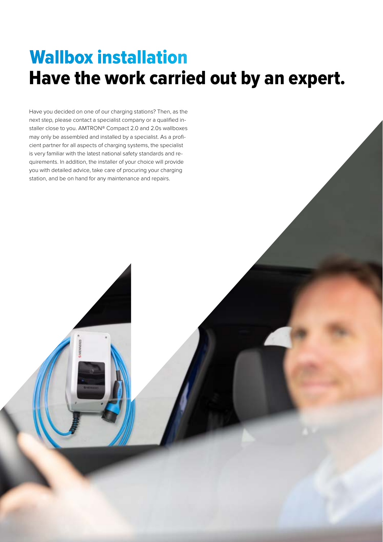#### Have the work carried out by an expert. Wallbox installation

Have you decided on one of our charging stations? Then, as the next step, please contact a specialist company or a qualified installer close to you. AMTRON® Compact 2.0 and 2.0s wallboxes may only be assembled and installed by a specialist. As a proficient partner for all aspects of charging systems, the specialist is very familiar with the latest national safety standards and requirements. In addition, the installer of your choice will provide you with detailed advice, take care of procuring your charging station, and be on hand for any maintenance and repairs.